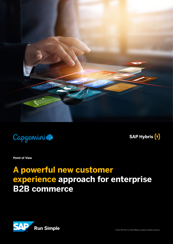



**SAP Hybris** (v)

**Point of View**

# **A powerful new customer experience approach for enterprise B2B commerce**

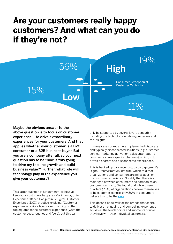# **Are your customers really happy customers? And what can you do if they're not?**



Maybe the obvious answer to the above question is to focus on customer experience – to drive extraordinary experiences for your customers. And that applies whether your customer is a B2C consumer or a B2B business buyer. But you are a company after all, so your next question has to be "how is this going to drive my top line growth and build business value?" Further, what role will technology play in the experience you give your customers?

This latter question is fundamental to how you keep your customers happy, as Mark Taylor, Chief Experience Officer, Capgemini's Digital Customer Experience (DCX) practice, explains. "Customer experience is like a layer cake. The icing on the top equates to the customer experience (what the customer sees, touches and feels), but this can

only be supported by several layers beneath it, including the technology, enabling processes and the insights."

In many cases brands have implemented disparate and typically disconnected solutions (e.g. customer service, marketing activation, sales automation or commerce across specific channels), which, in turn, drives disparate and disconnected experiences.

This is backed up by a recent study by Capgemini's Digital Transformation Institute, which told that organizations and consumers are miles apart on the customer experience. Notably that there is a major gap between consumers and companies on customer centricity. We found that while threequarters (75%) of organizations believe themselves to be customer-centric, only 30% of consumers believe this to be the [case](https://www.capgemini.com/resources/the-disconnected-customer-what-digital-customer-experience-leaders-teach-us-about/).<sup>1</sup>

This doesn't bode well for the brands that aspire to deliver an engaging and compelling experience across all the touch points and 'moments of now' they have with their individual customers.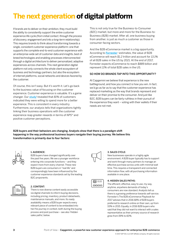## **The next generation of digital platform**

If brands are to deliver on their ambition, they must build the ability to consistently support the entire customer experience life cycle *(from initial contact, through the process of discovery, engagement and into a long-term relationship).*  This requires brands to think about transforming towards a single, consistent customer experience platform: one that supports the complete end-to-end customer experience with an enterprise-wide set of customer data and insights, best of breed technologies and enabling processes interconnected through a digital architecture to deliver personalized, adaptive experiences across channels. This next generation digital platform not only connects the whole client ecosystem of business and technology partners, but also the ecosystem of internet platforms, social networks and devices favored by the customer.

Of course, this isn't easy. But it's worth it. Let's go back to the business value of focusing on the customer experience. Customer experience is valuable. It's a game changer. Our [study](https://www.capgemini.com/news/8-in-10-consumers-willing-to-pay-more-for-a-better-customer-experience-as-big-business-falls)<sup>1</sup>revealed that *81%* of customers indicated they were willing to spend more for a better experience. This is consistent in every industry. Furthermore, our analysis tells that organizations tightly linking their business operations with the customer experience reap greater rewards in terms of *NPS®* and positive customer perceptions.

This is not only true for the Business-to-Consumer *(B2C)* market, but more and more for the Business-to-Business *(B2B)* market. After all, one business buying from another, is just as much a customer as those in consumer-facing sectors.

And the B2B eCommerce market is a big opportunity. According to **[Forrester](https://www.forrester.com/report/US+B2B+eCommerce+Will+Hit+12+Trillion+By+2021/-/E-RES136173)**<sup>2</sup> estimates, the value of B2B eCommerce will reach *\$1.2 trillion* and account for *13.1%*  of all B2B sales in the US by 2021. At the end of 2017, Forrester expects eCommerce to reach *\$889 billion* and represent *11%* of total B2B sales in the US.

#### SO HOW DO BRANDS TAP INTO THIS OPPORTUNITY?

At Capgemini we believe that experience is the new battleground, and how you connect is how you win. In fact, we'd go as far as to say that the customer experience has replaced marketing as the way that brands represent and deliver on their promise to the consumer. And just like B2C, B2B buyers can be fairly ruthless in their pursuit of the experience they want – voting with their wallets if their needs are not met.

B2B buyers and their behaviors are changing. Analysts show that there is a paradigm shift happening in the way professional business buyers navigate their buying journey. We believe this transformation is primarily due to four factors:



#### 1. AUDIENCE:

B2B buyers have changed significantly over the past five years. We see a younger workforce entering into corporate functions – and they expect more from every channel. These new B2B buyers are consumers in "real life" and correspondingly have been influenced by the customer experience standards set by the leading B2C proponents.



#### 2. CONTENT:

There is now diverse content easily accessible via digital channels to inform buying decisions, including pricing, inventory, product datasheets, maintenance manuals, and more. Its ready availability means a B2B buyer expects every relevant piece of content to be embedded into her/his journey in context, both during the buying process and post purchase – see also 'Hidden sales paths', below.



#### 3. SALES CYCLE:

New businesses operate in a highly agile environment. A B2B buyer typically has to support and work through many partners to manage an effective purchase across units with minimal wait time. This requires a transparent and connected information flow, with all purchasing information available in one place.



#### 4. HIDDEN SALES PATHS:

The efficient, effective, easy to use, my way, anytime, anywhere demands of today's consumers are now standard. Analysts tell us there is a growing preference towards self-service. Forrester's The B2B eCommerce Playbook for 2017 advises that in 2016 *68%* of B2B buyers preferred to research online on their own, up from *53%* in 2015. Equally, in 2016 B2B buyers who said that they did not want to interact with a sales representative as their primary source of research grew from *59%* to *60%.*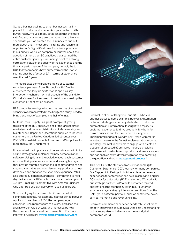So, as a business selling to other businesses, it's important to understand what makes your customer (the buyer) happy. We've already established that the more satisfied your customers are, the more they're likely to spend with you. We created the DCX Index to find out more about this. It measures the range and reach of an organization's Digital Customer Experience practices. In our survey, we asked company executives about the adoption of more than 80 practices that spanned the entire customer journey. Our findings point to a strong correlation between the quality of the experience and the financial performance of the company. In fact, the top DCX Index companies have outperformed the lowestscoring ones by a factor of *2.7* in terms of stock price over the last 4 years.

The report cites some great examples of customer experience pioneers, from Starbucks with *17 million*  customers regularly using its mobile app as a key interaction mechanism with all aspects of the brand, to Citi India's use of voice-based biometrics to speed up the customer authentication process.

B2B companies wanting to tap into the promise of increased spending (as demonstrated in the Capgemini study) need to bring these kinds of examples into their offerings.

MSC Industrial Supply is a great example of getting this right in the B2B space. As one of the largest direct marketers and premier distributors of Metalworking and Maintenance, Repair and Operations supplies to industrial customers in the United Kingdom, it distributes over *200,000* industrial products from over *1000* suppliers to more than *50,000* customers.

It recognized the importance of personalization within its selling strategy and implemented new personalization software. Using data and knowledge about each customer (such as their preferences, order and viewing history) they provide targeted promotions, recommendations and suggest alternative and complementary products to help drive sales and enhance the shopping experience. MSC also offered fulfilment guarantees – committing to nextday-delivery in the UK on all orders placed online up until 7.00pm – making it competitive with Amazon Business who offer free one-day delivery on qualifying orders.

Since deploying the software, MSC has recorded significant benefits. For example, in a test period between April and November of 2016, the company says it converted *38%* more visitors to buyers, increased the average order value by *12%*, and increased by *46%* the number of units sold per transaction. For more information, click on: www.digitalcommerce360.com<sup>3</sup>



Rockwell, a client of Capgemini and SAP Hybris, is another closer to home example. Rockwell Automation is the world's largest company dedicated to industrial automation and information. It sought to simplify its customer experience to drive productivity – both for its own business and for its customers. Capgemini implemented and went live with SAP Hybris Commerce in just eight weeks – the fastest implementation reported in history. Rockwell is now able to engage with clients on a subscription-based eCommerce model, is providing customers with instantaneous product and service access, and has enabled event-driven integration by automating the quotation and order **[management process](https://www.slideshare.net/capgemini/decode-digitalization-for-your-discrete-manufacturing-company)**.<sup>4</sup>

This is still just the start of a transformational Digital Customer Experience (DCX) journey for many companies. Our Capgemini offerings to build [seamless commerce](https://www.digitalcommerce360.com/2017/06/28/msc-industrial-supply-gets-personal-win-online-customers/ )  [experiences](https://www.digitalcommerce360.com/2017/06/28/msc-industrial-supply-gets-personal-win-online-customers/ ) for enterprises can help in achieving a higher DCX Index for enterprise (B2B) customers. We work with our strategic partner SAP to build customer-tailored applications (the technology layer in our customer experience layer cake) by integrating solutions from the SAP Hybris software portfolio, such as commerce, sales, service, marketing and revenue/billing.

Seamless commerce experience needs robust solutions, smooth integration and, above all, the best understanding of the enterprise's challenges in the new digital commerce world.